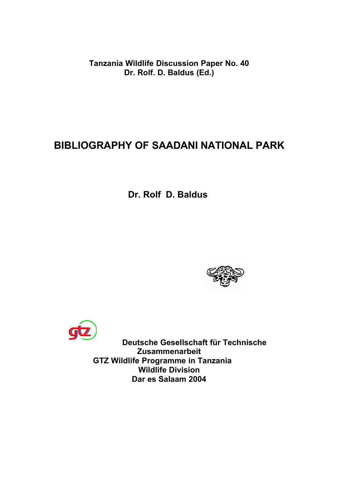**Tanzania Wildlife Discussion Paper No. 40 Dr. Rolf. D. Baldus (Ed.)**

## **BIBLIOGRAPHY OF SAADANI NATIONAL PARK**

**Dr. Rolf D. Baldus**





**Deutsche Gesellschaft für Technische Zusammenarbeit GTZ Wildlife Programme in Tanzania Wildlife Division Dar es Salaam 2004**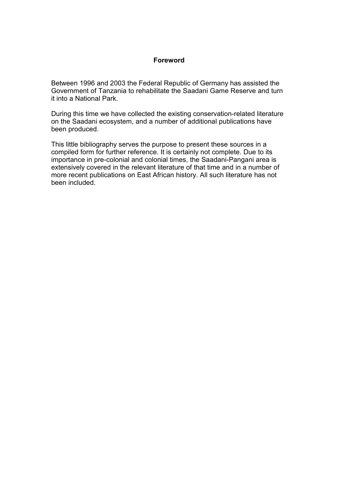## **Foreword**

Between 1996 and 2003 the Federal Republic of Germany has assisted the Government of Tanzania to rehabilitate the Saadani Game Reserve and turn it into a National Park.

During this time we have collected the existing conservation-related literature on the Saadani ecosystem, and a number of additional publications have been produced.

This little bibliography serves the purpose to present these sources in a compiled form for further reference. It is certainly not complete. Due to its importance in pre-colonial and colonial times, the Saadani-Pangani area is extensively covered in the relevant literature of that time and in a number of more recent publications on East African history. All such literature has not been included.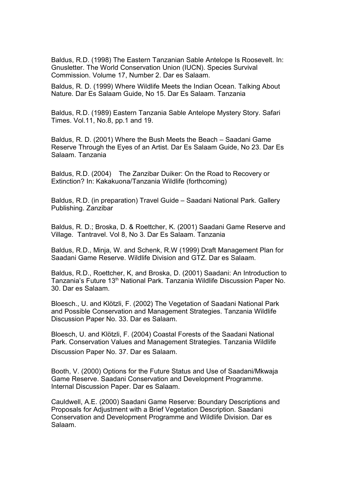Baldus, R.D. (1998) The Eastern Tanzanian Sable Antelope Is Roosevelt. In: Gnusletter. The World Conservation Union (IUCN). Species Survival Commission. Volume 17, Number 2. Dar es Salaam.

Baldus, R. D. (1999) Where Wildlife Meets the Indian Ocean. Talking About Nature. Dar Es Salaam Guide, No 15. Dar Es Salaam. Tanzania

Baldus, R.D. (1989) Eastern Tanzania Sable Antelope Mystery Story. Safari Times. Vol.11, No.8, pp.1 and 19.

Baldus, R. D. (2001) Where the Bush Meets the Beach – Saadani Game Reserve Through the Eyes of an Artist. Dar Es Salaam Guide, No 23. Dar Es Salaam. Tanzania

Baldus, R.D. (2004) The Zanzibar Duiker: On the Road to Recovery or Extinction? In: Kakakuona/Tanzania Wildlife (forthcoming)

Baldus, R.D. (in preparation) Travel Guide – Saadani National Park. Gallery Publishing. Zanzibar

Baldus, R. D.; Broska, D. & Roettcher, K. (2001) Saadani Game Reserve and Village. Tantravel. Vol 8, No 3. Dar Es Salaam. Tanzania

Baldus, R.D., Minja, W. and Schenk, R.W (1999) Draft Management Plan for Saadani Game Reserve. Wildlife Division and GTZ. Dar es Salaam.

Baldus, R.D., Roettcher, K, and Broska, D. (2001) Saadani: An Introduction to Tanzania's Future 13<sup>th</sup> National Park. Tanzania Wildlife Discussion Paper No. 30. Dar es Salaam.

Bloesch., U. and Klötzli, F. (2002) The Vegetation of Saadani National Park and Possible Conservation and Management Strategies. Tanzania Wildlife Discussion Paper No. 33. Dar es Salaam.

Bloesch, U. and Klötzli, F. (2004) Coastal Forests of the Saadani National Park. Conservation Values and Management Strategies. Tanzania Wildlife Discussion Paper No. 37. Dar es Salaam.

Booth, V. (2000) Options for the Future Status and Use of Saadani/Mkwaja Game Reserve. Saadani Conservation and Development Programme. Internal Discussion Paper. Dar es Salaam.

Cauldwell, A.E. (2000) Saadani Game Reserve: Boundary Descriptions and Proposals for Adjustment with a Brief Vegetation Description. Saadani Conservation and Development Programme and Wildlife Division. Dar es Salaam.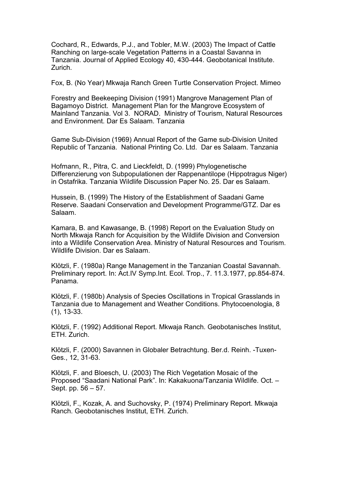Cochard, R., Edwards, P.J., and Tobler, M.W. (2003) The Impact of Cattle Ranching on large-scale Vegetation Patterns in a Coastal Savanna in Tanzania. Journal of Applied Ecology 40, 430-444. Geobotanical Institute. Zurich.

Fox, B. (No Year) Mkwaja Ranch Green Turtle Conservation Project. Mimeo

Forestry and Beekeeping Division (1991) Mangrove Management Plan of Bagamoyo District. Management Plan for the Mangrove Ecosystem of Mainland Tanzania. Vol 3. NORAD. Ministry of Tourism, Natural Resources and Environment. Dar Es Salaam. Tanzania

Game Sub-Division (1969) Annual Report of the Game sub-Division United Republic of Tanzania. National Printing Co. Ltd. Dar es Salaam. Tanzania

Hofmann, R., Pitra, C. and Lieckfeldt, D. (1999) Phylogenetische Differenzierung von Subpopulationen der Rappenantilope (Hippotragus Niger) in Ostafrika. Tanzania Wildlife Discussion Paper No. 25. Dar es Salaam.

Hussein, B. (1999) The History of the Establishment of Saadani Game Reserve. Saadani Conservation and Development Programme/GTZ. Dar es Salaam.

Kamara, B. and Kawasange, B. (1998) Report on the Evaluation Study on North Mkwaja Ranch for Acquisition by the Wildlife Division and Conversion into a Wildlife Conservation Area. Ministry of Natural Resources and Tourism. Wildlife Division. Dar es Salaam.

Klötzli, F. (1980a) Range Management in the Tanzanian Coastal Savannah. Preliminary report. In: Act.IV Symp.Int. Ecol. Trop., 7. 11.3.1977, pp.854-874. Panama.

Klötzli, F. (1980b) Analysis of Species Oscillations in Tropical Grasslands in Tanzania due to Management and Weather Conditions. Phytocoenologia, 8 (1), 13-33.

Klötzli, F. (1992) Additional Report. Mkwaja Ranch. Geobotanisches Institut, ETH. Zurich.

Klötzli, F. (2000) Savannen in Globaler Betrachtung. Ber.d. Reinh. -Tuxen-Ges., 12, 31-63.

Klötzli, F. and Bloesch, U. (2003) The Rich Vegetation Mosaic of the Proposed "Saadani National Park". In: Kakakuona/Tanzania Wildlife. Oct. – Sept. pp. 56 – 57.

Klötzli, F., Kozak, A. and Suchovsky, P. (1974) Preliminary Report. Mkwaja Ranch. Geobotanisches Institut, ETH. Zurich.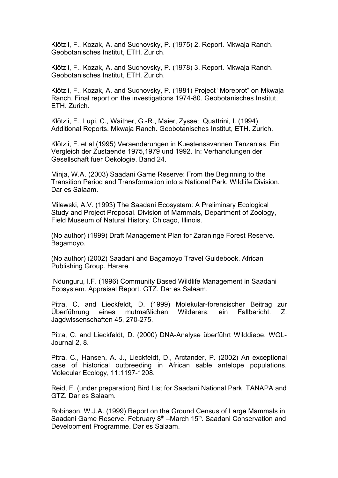Klötzli, F., Kozak, A. and Suchovsky, P. (1975) 2. Report. Mkwaja Ranch. Geobotanisches Institut, ETH. Zurich.

Klötzli, F., Kozak, A. and Suchovsky, P. (1978) 3. Report. Mkwaja Ranch. Geobotanisches Institut, ETH. Zurich.

Klötzli, F., Kozak, A. and Suchovsky, P. (1981) Project "Moreprot" on Mkwaja Ranch. Final report on the investigations 1974-80. Geobotanisches Institut, ETH. Zurich.

Klötzli, F., Lupi, C., Waither, G.-R., Maier, Zysset, Quattrini, I. (1994) Additional Reports. Mkwaja Ranch. Geobotanisches Institut, ETH. Zurich.

Klötzli, F. et al (1995) Veraenderungen in Kuestensavannen Tanzanias. Ein Vergleich der Zustaende 1975,1979 und 1992. In: Verhandlungen der Gesellschaft fuer Oekologie, Band 24.

Minja, W.A. (2003) Saadani Game Reserve: From the Beginning to the Transition Period and Transformation into a National Park. Wildlife Division. Dar es Salaam.

Milewski, A.V. (1993) The Saadani Ecosystem: A Preliminary Ecological Study and Project Proposal. Division of Mammals, Department of Zoology, Field Museum of Natural History. Chicago, Illinois.

(No author) (1999) Draft Management Plan for Zaraninge Forest Reserve. Bagamoyo.

(No author) (2002) Saadani and Bagamoyo Travel Guidebook. African Publishing Group. Harare.

Ndunguru, I.F. (1996) Community Based Wildlife Management in Saadani Ecosystem. Appraisal Report. GTZ. Dar es Salaam.

Pitra, C. and Lieckfeldt, D. (1999) Molekular-forensischer Beitrag zur Überführung eines mutmaßlichen Wilderers: ein Fallbericht. Z. Jagdwissenschaften 45, 270-275.

Pitra, C. and Lieckfeldt, D. (2000) DNA-Analyse überführt Wilddiebe. WGL-Journal 2, 8.

Pitra, C., Hansen, A. J., Lieckfeldt, D., Arctander, P. (2002) An exceptional case of historical outbreeding in African sable antelope populations. Molecular Ecology, 11:1197-1208.

Reid, F. (under preparation) Bird List for Saadani National Park. TANAPA and GTZ. Dar es Salaam.

Robinson, W.J.A. (1999) Report on the Ground Census of Large Mammals in Saadani Game Reserve. February 8<sup>th</sup> –March 15<sup>th</sup>. Saadani Conservation and Development Programme. Dar es Salaam.